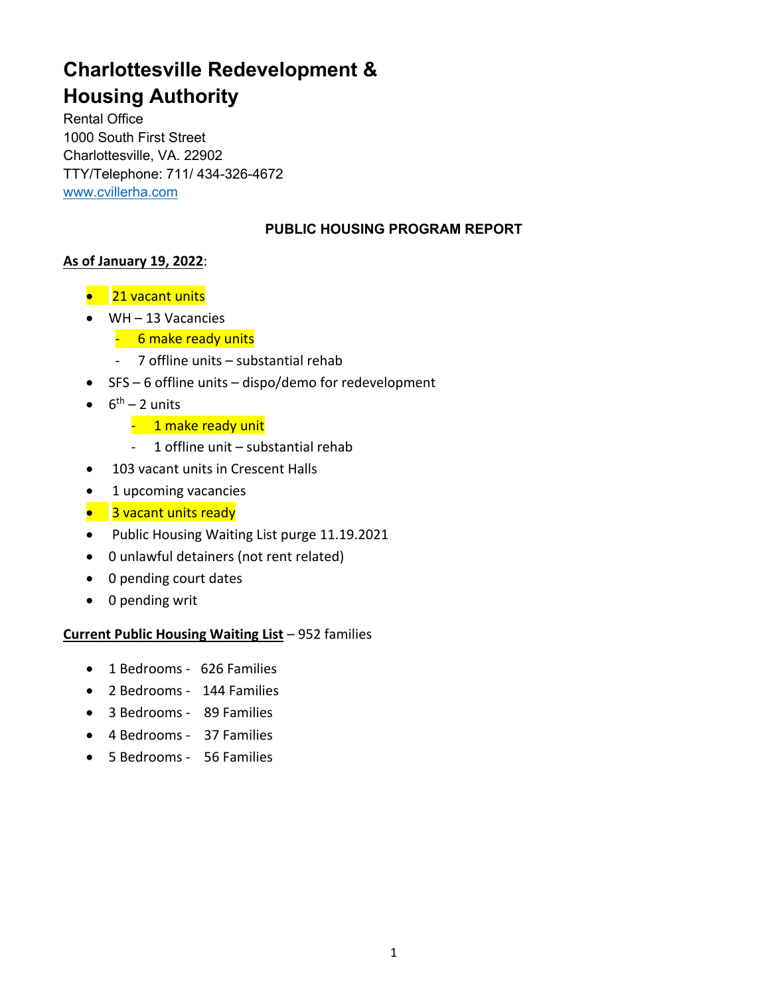# **Charlottesville Redevelopment & Housing Authority**

Rental Office 1000 South First Street Charlottesville, VA. 22902 TTY/Telephone: 711/ 434-326-4672 www.cvillerha.com

# **PUBLIC HOUSING PROGRAM REPORT**

# **As of January 19, 2022**:

- 21 vacant units
- WH 13 Vacancies
	- 6 make ready units
	- 7 offline units substantial rehab
- SFS 6 offline units dispo/demo for redevelopment
- $\bullet$  6<sup>th</sup> 2 units
	- 1 make ready unit
	- 1 offline unit substantial rehab
- 103 vacant units in Crescent Halls
- 1 upcoming vacancies
- 3 vacant units ready
- Public Housing Waiting List purge 11.19.2021
- 0 unlawful detainers (not rent related)
- 0 pending court dates
- 0 pending writ

# **Current Public Housing Waiting List** – 952 families

- 1 Bedrooms 626 Families
- 2 Bedrooms 144 Families
- 3 Bedrooms 89 Families
- 4 Bedrooms 37 Families
- 5 Bedrooms 56 Families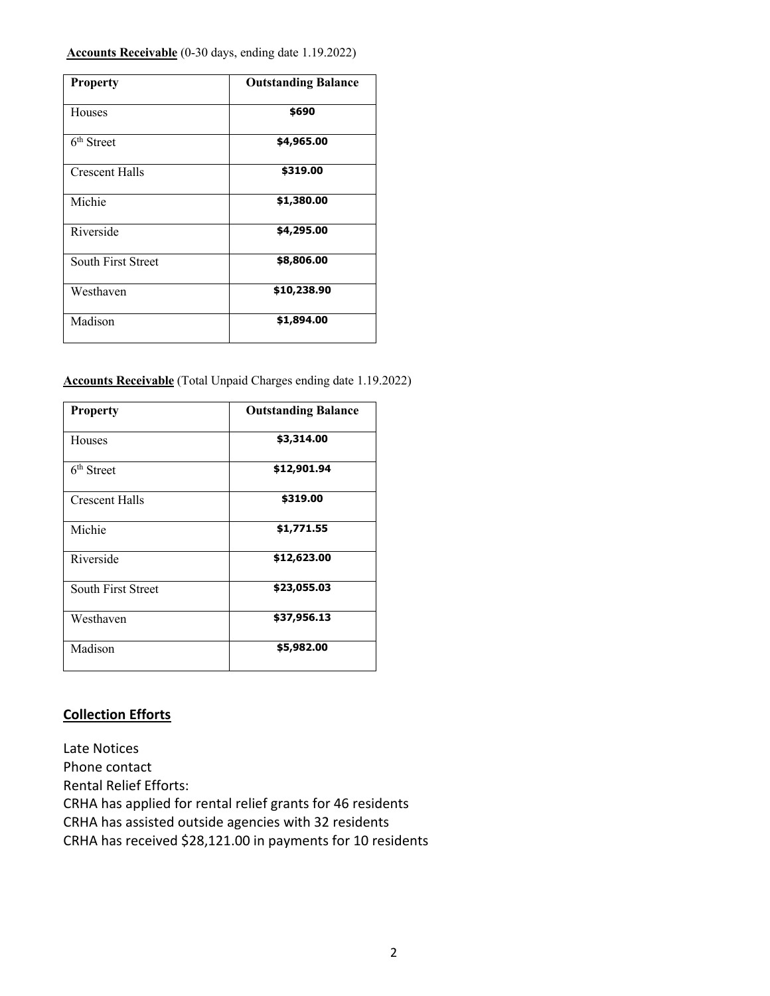#### **Accounts Receivable** (0-30 days, ending date 1.19.2022)

| <b>Property</b>        | <b>Outstanding Balance</b> |
|------------------------|----------------------------|
| Houses                 | \$690                      |
| 6 <sup>th</sup> Street | \$4,965.00                 |
| <b>Crescent Halls</b>  | \$319.00                   |
| Michie                 | \$1,380.00                 |
| Riverside              | \$4,295.00                 |
| South First Street     | \$8,806.00                 |
| Westhaven              | \$10,238.90                |
| Madison                | \$1,894.00                 |

#### **Accounts Receivable** (Total Unpaid Charges ending date 1.19.2022)

| <b>Property</b>        | <b>Outstanding Balance</b> |
|------------------------|----------------------------|
| Houses                 | \$3,314.00                 |
| 6 <sup>th</sup> Street | \$12,901.94                |
| <b>Crescent Halls</b>  | \$319.00                   |
| Michie                 | \$1,771.55                 |
| Riverside              | \$12,623.00                |
| South First Street     | \$23,055.03                |
| Westhaven              | \$37,956.13                |
| Madison                | \$5,982.00                 |

### **Collection Efforts**

Late Notices Phone contact Rental Relief Efforts: CRHA has applied for rental relief grants for 46 residents CRHA has assisted outside agencies with 32 residents CRHA has received \$28,121.00 in payments for 10 residents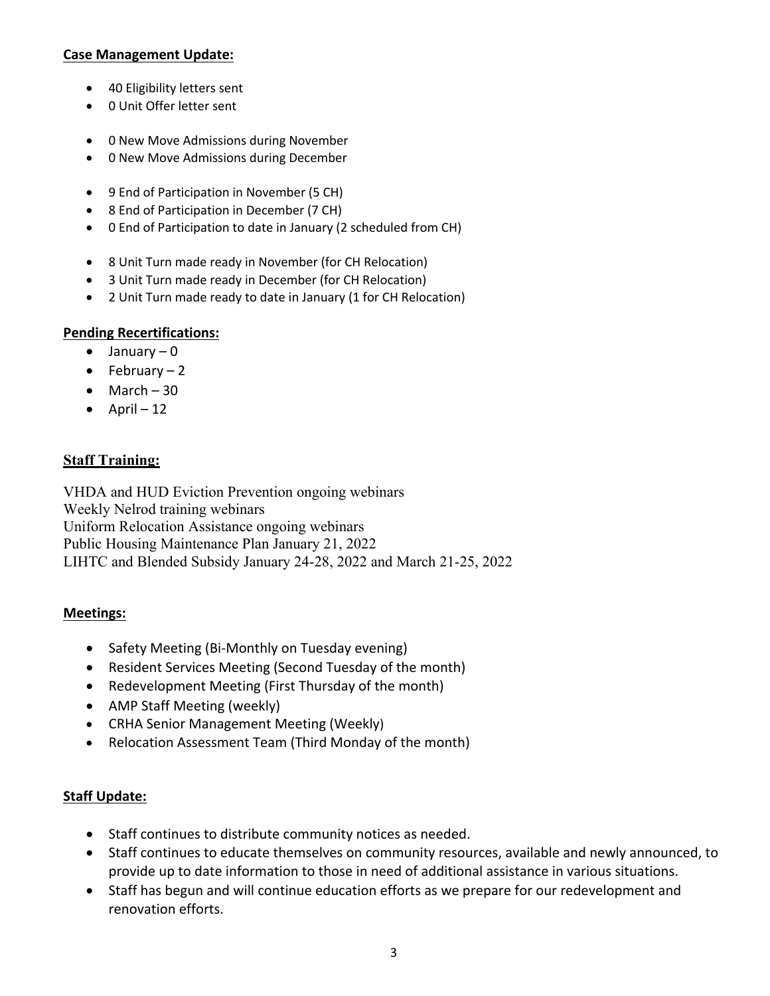### **Case Management Update:**

- 40 Eligibility letters sent
- 0 Unit Offer letter sent
- 0 New Move Admissions during November
- 0 New Move Admissions during December
- 9 End of Participation in November (5 CH)
- 8 End of Participation in December (7 CH)
- 0 End of Participation to date in January (2 scheduled from CH)
- 8 Unit Turn made ready in November (for CH Relocation)
- 3 Unit Turn made ready in December (for CH Relocation)
- 2 Unit Turn made ready to date in January (1 for CH Relocation)

# **Pending Recertifications:**

- $\bullet$  January 0
- $\bullet$  February 2
- $\bullet$  March 30
- $\bullet$  April 12

# **Staff Training:**

VHDA and HUD Eviction Prevention ongoing webinars Weekly Nelrod training webinars Uniform Relocation Assistance ongoing webinars Public Housing Maintenance Plan January 21, 2022 LIHTC and Blended Subsidy January 24-28, 2022 and March 21-25, 2022

#### **Meetings:**

- Safety Meeting (Bi-Monthly on Tuesday evening)
- Resident Services Meeting (Second Tuesday of the month)
- Redevelopment Meeting (First Thursday of the month)
- AMP Staff Meeting (weekly)
- CRHA Senior Management Meeting (Weekly)
- Relocation Assessment Team (Third Monday of the month)

# **Staff Update:**

- Staff continues to distribute community notices as needed.
- Staff continues to educate themselves on community resources, available and newly announced, to provide up to date information to those in need of additional assistance in various situations.
- Staff has begun and will continue education efforts as we prepare for our redevelopment and renovation efforts.